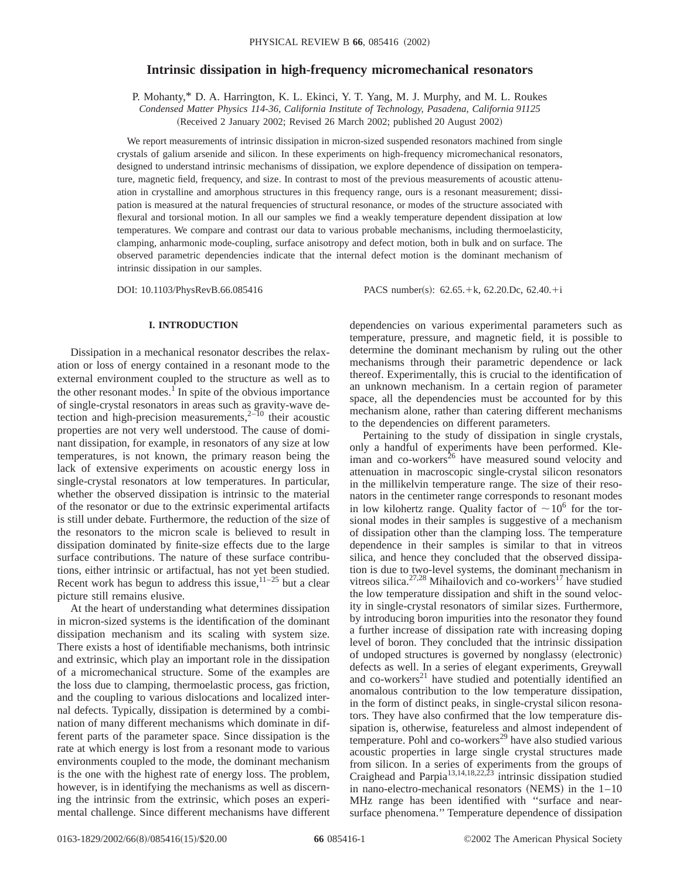# **Intrinsic dissipation in high-frequency micromechanical resonators**

P. Mohanty,\* D. A. Harrington, K. L. Ekinci, Y. T. Yang, M. J. Murphy, and M. L. Roukes

*Condensed Matter Physics 114-36, California Institute of Technology, Pasadena, California 91125* (Received 2 January 2002; Revised 26 March 2002; published 20 August 2002)

We report measurements of intrinsic dissipation in micron-sized suspended resonators machined from single crystals of galium arsenide and silicon. In these experiments on high-frequency micromechanical resonators, designed to understand intrinsic mechanisms of dissipation, we explore dependence of dissipation on temperature, magnetic field, frequency, and size. In contrast to most of the previous measurements of acoustic attenuation in crystalline and amorphous structures in this frequency range, ours is a resonant measurement; dissipation is measured at the natural frequencies of structural resonance, or modes of the structure associated with flexural and torsional motion. In all our samples we find a weakly temperature dependent dissipation at low temperatures. We compare and contrast our data to various probable mechanisms, including thermoelasticity, clamping, anharmonic mode-coupling, surface anisotropy and defect motion, both in bulk and on surface. The observed parametric dependencies indicate that the internal defect motion is the dominant mechanism of intrinsic dissipation in our samples.

DOI: 10.1103/PhysRevB.66.085416 PACS number(s): 62.65.+k, 62.20.Dc, 62.40.+i

## **I. INTRODUCTION**

Dissipation in a mechanical resonator describes the relaxation or loss of energy contained in a resonant mode to the external environment coupled to the structure as well as to the other resonant modes.<sup>1</sup> In spite of the obvious importance of single-crystal resonators in areas such as gravity-wave detection and high-precision measurements, $2^{-10}$  their acoustic properties are not very well understood. The cause of dominant dissipation, for example, in resonators of any size at low temperatures, is not known, the primary reason being the lack of extensive experiments on acoustic energy loss in single-crystal resonators at low temperatures. In particular, whether the observed dissipation is intrinsic to the material of the resonator or due to the extrinsic experimental artifacts is still under debate. Furthermore, the reduction of the size of the resonators to the micron scale is believed to result in dissipation dominated by finite-size effects due to the large surface contributions. The nature of these surface contributions, either intrinsic or artifactual, has not yet been studied. Recent work has begun to address this issue,  $11-25$  but a clear picture still remains elusive.

At the heart of understanding what determines dissipation in micron-sized systems is the identification of the dominant dissipation mechanism and its scaling with system size. There exists a host of identifiable mechanisms, both intrinsic and extrinsic, which play an important role in the dissipation of a micromechanical structure. Some of the examples are the loss due to clamping, thermoelastic process, gas friction, and the coupling to various dislocations and localized internal defects. Typically, dissipation is determined by a combination of many different mechanisms which dominate in different parts of the parameter space. Since dissipation is the rate at which energy is lost from a resonant mode to various environments coupled to the mode, the dominant mechanism is the one with the highest rate of energy loss. The problem, however, is in identifying the mechanisms as well as discerning the intrinsic from the extrinsic, which poses an experimental challenge. Since different mechanisms have different

dependencies on various experimental parameters such as temperature, pressure, and magnetic field, it is possible to determine the dominant mechanism by ruling out the other mechanisms through their parametric dependence or lack thereof. Experimentally, this is crucial to the identification of an unknown mechanism. In a certain region of parameter space, all the dependencies must be accounted for by this mechanism alone, rather than catering different mechanisms to the dependencies on different parameters.

Pertaining to the study of dissipation in single crystals, only a handful of experiments have been performed. Kleiman and co-workers<sup>26</sup> have measured sound velocity and attenuation in macroscopic single-crystal silicon resonators in the millikelvin temperature range. The size of their resonators in the centimeter range corresponds to resonant modes in low kilohertz range. Quality factor of  $\sim 10^6$  for the torsional modes in their samples is suggestive of a mechanism of dissipation other than the clamping loss. The temperature dependence in their samples is similar to that in vitreos silica, and hence they concluded that the observed dissipation is due to two-level systems, the dominant mechanism in vitreos silica.<sup>27,28</sup> Mihailovich and co-workers<sup>17</sup> have studied the low temperature dissipation and shift in the sound velocity in single-crystal resonators of similar sizes. Furthermore, by introducing boron impurities into the resonator they found a further increase of dissipation rate with increasing doping level of boron. They concluded that the intrinsic dissipation of undoped structures is governed by nonglassy (electronic) defects as well. In a series of elegant experiments, Greywall and co-workers<sup>21</sup> have studied and potentially identified an anomalous contribution to the low temperature dissipation, in the form of distinct peaks, in single-crystal silicon resonators. They have also confirmed that the low temperature dissipation is, otherwise, featureless and almost independent of temperature. Pohl and co-workers<sup>29</sup> have also studied various acoustic properties in large single crystal structures made from silicon. In a series of experiments from the groups of Craighead and Parpia<sup>13,14,18,22,23</sup> intrinsic dissipation studied in nano-electro-mechanical resonators  $(NEMS)$  in the  $1-10$ MHz range has been identified with ''surface and nearsurface phenomena.'' Temperature dependence of dissipation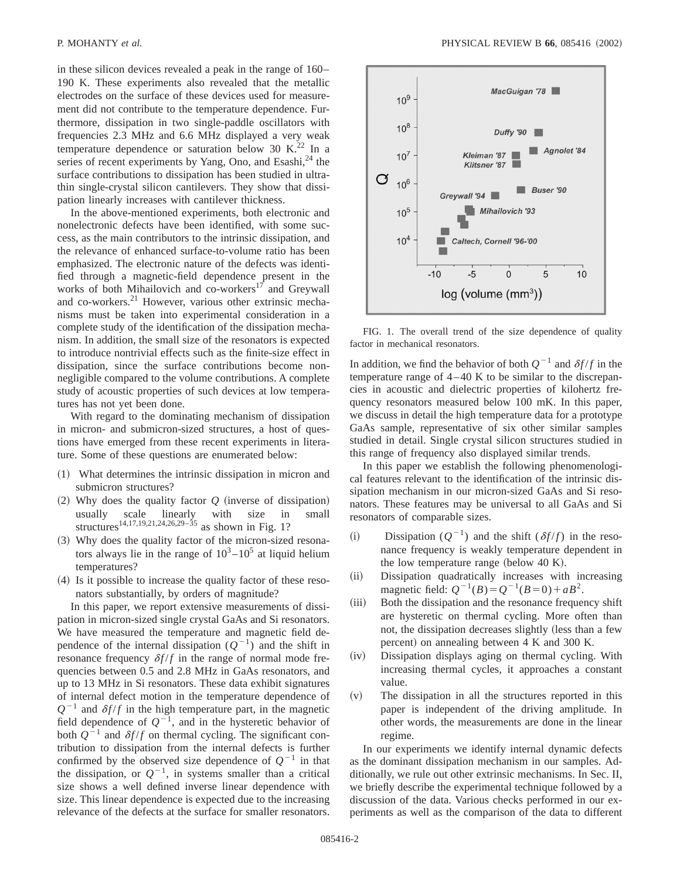in these silicon devices revealed a peak in the range of 160– 190 K. These experiments also revealed that the metallic electrodes on the surface of these devices used for measurement did not contribute to the temperature dependence. Furthermore, dissipation in two single-paddle oscillators with frequencies 2.3 MHz and 6.6 MHz displayed a very weak temperature dependence or saturation below 30 K. $^{22}$  In a series of recent experiments by Yang, Ono, and Esashi, $^{24}$  the surface contributions to dissipation has been studied in ultrathin single-crystal silicon cantilevers. They show that dissipation linearly increases with cantilever thickness.

In the above-mentioned experiments, both electronic and nonelectronic defects have been identified, with some success, as the main contributors to the intrinsic dissipation, and the relevance of enhanced surface-to-volume ratio has been emphasized. The electronic nature of the defects was identified through a magnetic-field dependence present in the works of both Mihailovich and  $\cos$ -workers<sup>17</sup> and Greywall and co-workers.<sup>21</sup> However, various other extrinsic mechanisms must be taken into experimental consideration in a complete study of the identification of the dissipation mechanism. In addition, the small size of the resonators is expected to introduce nontrivial effects such as the finite-size effect in dissipation, since the surface contributions become nonnegligible compared to the volume contributions. A complete study of acoustic properties of such devices at low temperatures has not yet been done.

With regard to the dominating mechanism of dissipation in micron- and submicron-sized structures, a host of questions have emerged from these recent experiments in literature. Some of these questions are enumerated below:

- ~1! What determines the intrinsic dissipation in micron and submicron structures?
- $(2)$  Why does the quality factor  $Q$  (inverse of dissipation) usually scale linearly with size in small structures<sup>14,17,19,21,24,26,29–35</sup> as shown in Fig. 1?
- ~3! Why does the quality factor of the micron-sized resonators always lie in the range of  $10^3 - 10^5$  at liquid helium temperatures?
- $(4)$  Is it possible to increase the quality factor of these resonators substantially, by orders of magnitude?

In this paper, we report extensive measurements of dissipation in micron-sized single crystal GaAs and Si resonators. We have measured the temperature and magnetic field dependence of the internal dissipation  $(Q^{-1})$  and the shift in resonance frequency  $\delta f/f$  in the range of normal mode frequencies between 0.5 and 2.8 MHz in GaAs resonators, and up to 13 MHz in Si resonators. These data exhibit signatures of internal defect motion in the temperature dependence of  $Q^{-1}$  and  $\delta f/f$  in the high temperature part, in the magnetic field dependence of  $Q^{-1}$ , and in the hysteretic behavior of both  $Q^{-1}$  and  $\delta f/f$  on thermal cycling. The significant contribution to dissipation from the internal defects is further confirmed by the observed size dependence of  $Q^{-1}$  in that the dissipation, or  $Q^{-1}$ , in systems smaller than a critical size shows a well defined inverse linear dependence with size. This linear dependence is expected due to the increasing relevance of the defects at the surface for smaller resonators.



FIG. 1. The overall trend of the size dependence of quality factor in mechanical resonators.

In addition, we find the behavior of both  $Q^{-1}$  and  $\delta f/f$  in the temperature range of 4–40 K to be similar to the discrepancies in acoustic and dielectric properties of kilohertz frequency resonators measured below 100 mK. In this paper, we discuss in detail the high temperature data for a prototype GaAs sample, representative of six other similar samples studied in detail. Single crystal silicon structures studied in this range of frequency also displayed similar trends.

In this paper we establish the following phenomenological features relevant to the identification of the intrinsic dissipation mechanism in our micron-sized GaAs and Si resonators. These features may be universal to all GaAs and Si resonators of comparable sizes.

- (i) Dissipation  $(Q^{-1})$  and the shift  $(\delta f/f)$  in the resonance frequency is weakly temperature dependent in the low temperature range (below  $40 \text{ K}$ ).
- (ii) Dissipation quadratically increases with increasing magnetic field:  $Q^{-1}(B) = Q^{-1}(B=0) + aB^2$ .
- (iii) Both the dissipation and the resonance frequency shift are hysteretic on thermal cycling. More often than not, the dissipation decreases slightly (less than a few percent) on annealing between  $4 K$  and  $300 K$ .
- (iv) Dissipation displays aging on thermal cycling. With increasing thermal cycles, it approaches a constant value.
- $(v)$  The dissipation in all the structures reported in this paper is independent of the driving amplitude. In other words, the measurements are done in the linear regime.

In our experiments we identify internal dynamic defects as the dominant dissipation mechanism in our samples. Additionally, we rule out other extrinsic mechanisms. In Sec. II, we briefly describe the experimental technique followed by a discussion of the data. Various checks performed in our experiments as well as the comparison of the data to different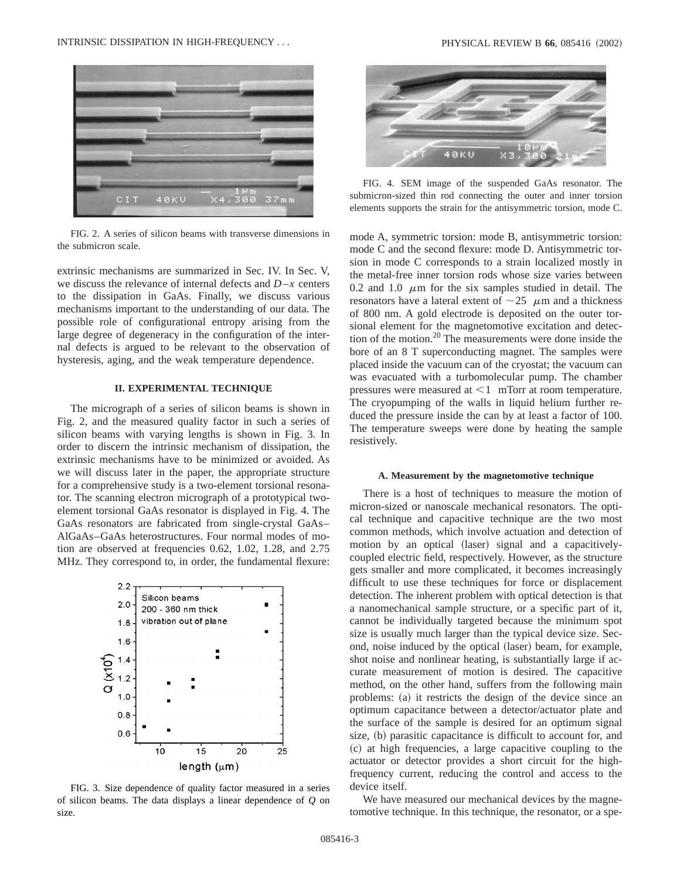

FIG. 2. A series of silicon beams with transverse dimensions in the submicron scale.

extrinsic mechanisms are summarized in Sec. IV. In Sec. V, we discuss the relevance of internal defects and  $D-x$  centers to the dissipation in GaAs. Finally, we discuss various mechanisms important to the understanding of our data. The possible role of configurational entropy arising from the large degree of degeneracy in the configuration of the internal defects is argued to be relevant to the observation of hysteresis, aging, and the weak temperature dependence.

## **II. EXPERIMENTAL TECHNIQUE**

The micrograph of a series of silicon beams is shown in Fig. 2, and the measured quality factor in such a series of silicon beams with varying lengths is shown in Fig. 3. In order to discern the intrinsic mechanism of dissipation, the extrinsic mechanisms have to be minimized or avoided. As we will discuss later in the paper, the appropriate structure for a comprehensive study is a two-element torsional resonator. The scanning electron micrograph of a prototypical twoelement torsional GaAs resonator is displayed in Fig. 4. The GaAs resonators are fabricated from single-crystal GaAs– AlGaAs–GaAs heterostructures. Four normal modes of motion are observed at frequencies 0.62, 1.02, 1.28, and 2.75 MHz. They correspond to, in order, the fundamental flexure:



FIG. 3. Size dependence of quality factor measured in a series of silicon beams. The data displays a linear dependence of *Q* on size.



FIG. 4. SEM image of the suspended GaAs resonator. The submicron-sized thin rod connecting the outer and inner torsion elements supports the strain for the antisymmetric torsion, mode C.

mode A, symmetric torsion: mode B, antisymmetric torsion: mode C and the second flexure: mode D. Antisymmetric torsion in mode C corresponds to a strain localized mostly in the metal-free inner torsion rods whose size varies between 0.2 and 1.0  $\mu$ m for the six samples studied in detail. The resonators have a lateral extent of  $\sim$  25  $\mu$ m and a thickness of 800 nm. A gold electrode is deposited on the outer torsional element for the magnetomotive excitation and detection of the motion.20 The measurements were done inside the bore of an 8 T superconducting magnet. The samples were placed inside the vacuum can of the cryostat; the vacuum can was evacuated with a turbomolecular pump. The chamber pressures were measured at  $\leq 1$  mTorr at room temperature. The cryopumping of the walls in liquid helium further reduced the pressure inside the can by at least a factor of 100. The temperature sweeps were done by heating the sample resistively.

### **A. Measurement by the magnetomotive technique**

There is a host of techniques to measure the motion of micron-sized or nanoscale mechanical resonators. The optical technique and capacitive technique are the two most common methods, which involve actuation and detection of motion by an optical (laser) signal and a capacitivelycoupled electric field, respectively. However, as the structure gets smaller and more complicated, it becomes increasingly difficult to use these techniques for force or displacement detection. The inherent problem with optical detection is that a nanomechanical sample structure, or a specific part of it, cannot be individually targeted because the minimum spot size is usually much larger than the typical device size. Second, noise induced by the optical (laser) beam, for example, shot noise and nonlinear heating, is substantially large if accurate measurement of motion is desired. The capacitive method, on the other hand, suffers from the following main problems: (a) it restricts the design of the device since an optimum capacitance between a detector/actuator plate and the surface of the sample is desired for an optimum signal size,  $(b)$  parasitic capacitance is difficult to account for, and ~c! at high frequencies, a large capacitive coupling to the actuator or detector provides a short circuit for the highfrequency current, reducing the control and access to the device itself.

We have measured our mechanical devices by the magnetomotive technique. In this technique, the resonator, or a spe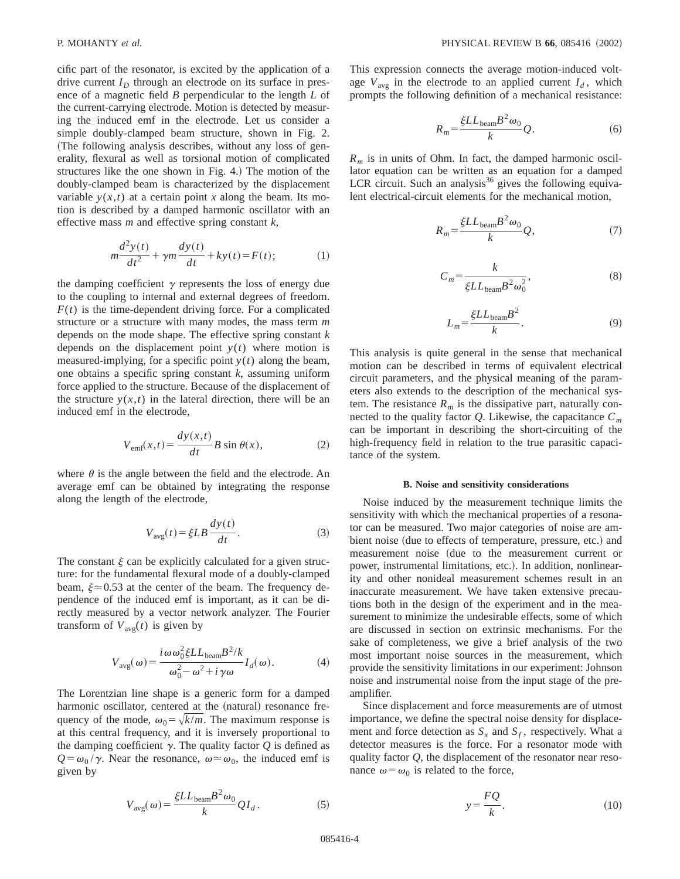cific part of the resonator, is excited by the application of a drive current  $I_D$  through an electrode on its surface in presence of a magnetic field *B* perpendicular to the length *L* of the current-carrying electrode. Motion is detected by measuring the induced emf in the electrode. Let us consider a simple doubly-clamped beam structure, shown in Fig. 2. (The following analysis describes, without any loss of generality, flexural as well as torsional motion of complicated structures like the one shown in Fig.  $4$ .) The motion of the doubly-clamped beam is characterized by the displacement variable  $y(x,t)$  at a certain point *x* along the beam. Its motion is described by a damped harmonic oscillator with an effective mass *m* and effective spring constant *k*,

$$
m\frac{d^2y(t)}{dt^2} + \gamma m\frac{dy(t)}{dt} + ky(t) = F(t); \tag{1}
$$

the damping coefficient  $\gamma$  represents the loss of energy due to the coupling to internal and external degrees of freedom.  $F(t)$  is the time-dependent driving force. For a complicated structure or a structure with many modes, the mass term *m* depends on the mode shape. The effective spring constant *k* depends on the displacement point  $y(t)$  where motion is measured-implying, for a specific point  $y(t)$  along the beam, one obtains a specific spring constant *k*, assuming uniform force applied to the structure. Because of the displacement of the structure  $y(x,t)$  in the lateral direction, there will be an induced emf in the electrode,

$$
V_{\text{emf}}(x,t) = \frac{dy(x,t)}{dt}B\sin\theta(x),\tag{2}
$$

where  $\theta$  is the angle between the field and the electrode. An average emf can be obtained by integrating the response along the length of the electrode,

$$
V_{\text{avg}}(t) = \xi L B \frac{dy(t)}{dt}.
$$
 (3)

The constant  $\xi$  can be explicitly calculated for a given structure: for the fundamental flexural mode of a doubly-clamped beam,  $\xi \approx 0.53$  at the center of the beam. The frequency dependence of the induced emf is important, as it can be directly measured by a vector network analyzer. The Fourier transform of  $V_{avg}(t)$  is given by

$$
V_{\text{avg}}(\omega) = \frac{i\omega\omega_0^2 \xi L L_{\text{beam}} B^2 / k}{\omega_0^2 - \omega^2 + i\gamma \omega} I_d(\omega). \tag{4}
$$

The Lorentzian line shape is a generic form for a damped harmonic oscillator, centered at the (natural) resonance frequency of the mode,  $\omega_0 = \sqrt{k/m}$ . The maximum response is at this central frequency, and it is inversely proportional to the damping coefficient  $\gamma$ . The quality factor  $Q$  is defined as  $Q = \omega_0 / \gamma$ . Near the resonance,  $\omega \approx \omega_0$ , the induced emf is given by

This expression connects the average motion-induced voltage  $V_{\text{avg}}$  in the electrode to an applied current  $I_d$ , which prompts the following definition of a mechanical resistance:

$$
R_m = \frac{\xi L L_{\text{beam}} B^2 \omega_0}{k} Q. \tag{6}
$$

 $R<sub>m</sub>$  is in units of Ohm. In fact, the damped harmonic oscillator equation can be written as an equation for a damped LCR circuit. Such an analysis<sup>36</sup> gives the following equivalent electrical-circuit elements for the mechanical motion,

$$
R_m = \frac{\xi L L_{\text{beam}} B^2 \omega_0}{k} Q,\tag{7}
$$

$$
C_m = \frac{k}{\xi L L_{\text{beam}} B^2 \omega_0^2},\tag{8}
$$

$$
L_m = \frac{\xi L L_{\text{beam}} B^2}{k}.
$$
 (9)

This analysis is quite general in the sense that mechanical motion can be described in terms of equivalent electrical circuit parameters, and the physical meaning of the parameters also extends to the description of the mechanical system. The resistance  $R_m$  is the dissipative part, naturally connected to the quality factor  $Q$ . Likewise, the capacitance  $C_m$ can be important in describing the short-circuiting of the high-frequency field in relation to the true parasitic capacitance of the system.

#### **B. Noise and sensitivity considerations**

Noise induced by the measurement technique limits the sensitivity with which the mechanical properties of a resonator can be measured. Two major categories of noise are ambient noise (due to effects of temperature, pressure, etc.) and measurement noise (due to the measurement current or power, instrumental limitations, etc.). In addition, nonlinearity and other nonideal measurement schemes result in an inaccurate measurement. We have taken extensive precautions both in the design of the experiment and in the measurement to minimize the undesirable effects, some of which are discussed in section on extrinsic mechanisms. For the sake of completeness, we give a brief analysis of the two most important noise sources in the measurement, which provide the sensitivity limitations in our experiment: Johnson noise and instrumental noise from the input stage of the preamplifier.

Since displacement and force measurements are of utmost importance, we define the spectral noise density for displacement and force detection as  $S_x$  and  $S_f$ , respectively. What a detector measures is the force. For a resonator mode with quality factor *Q*, the displacement of the resonator near resonance  $\omega = \omega_0$  is related to the force,

$$
y = \frac{FQ}{k}.
$$
 (10)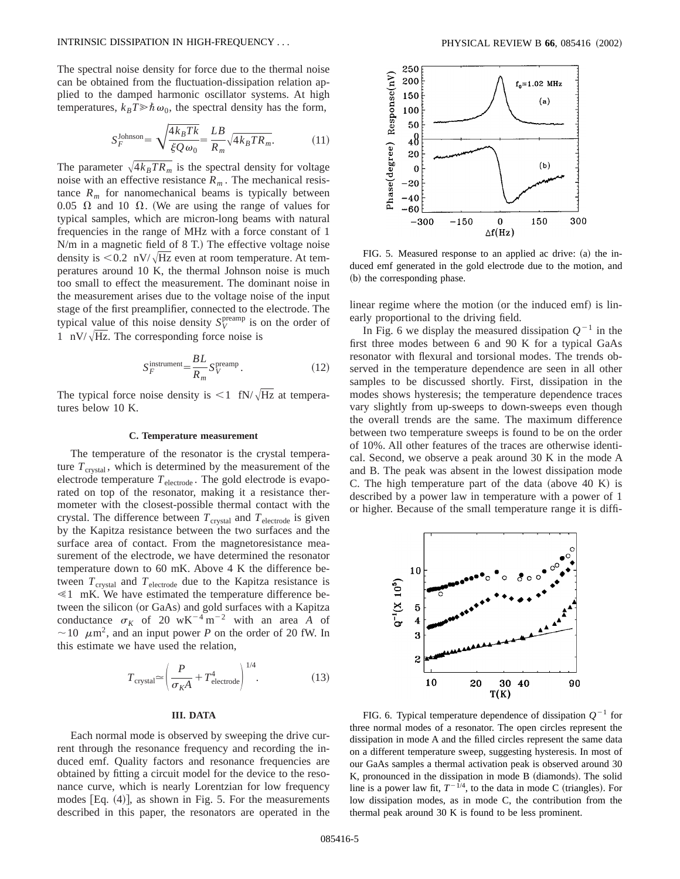The spectral noise density for force due to the thermal noise can be obtained from the fluctuation-dissipation relation applied to the damped harmonic oscillator systems. At high temperatures,  $k_B T \gg \hbar \omega_0$ , the spectral density has the form,

$$
S_F^{\text{Johnson}} = \sqrt{\frac{4k_B T k}{\xi Q \omega_0}} = \frac{LB}{R_m} \sqrt{4k_B T R_m}.
$$
 (11)

The parameter  $\sqrt{4k_BTR_m}$  is the spectral density for voltage noise with an effective resistance  $R_m$ . The mechanical resistance  $R_m$  for nanomechanical beams is typically between 0.05  $\Omega$  and 10  $\Omega$ . (We are using the range of values for typical samples, which are micron-long beams with natural frequencies in the range of MHz with a force constant of 1  $N/m$  in a magnetic field of 8 T.) The effective voltage noise density is  $\langle 0.2 \, nV/\sqrt{Hz}$  even at room temperature. At temperatures around 10 K, the thermal Johnson noise is much too small to effect the measurement. The dominant noise in the measurement arises due to the voltage noise of the input stage of the first preamplifier, connected to the electrode. The typical value of this noise density  $S_V^{\text{preamp}}$  is on the order of 1 nV/ $\sqrt{Hz}$ . The corresponding force noise is

$$
S_F^{\text{instrument}} = \frac{BL}{R_m} S_V^{\text{preamp}}.
$$
 (12)

The typical force noise density is  $\leq$  1 fN/ $\sqrt{Hz}$  at temperatures below 10 K.

#### **C. Temperature measurement**

The temperature of the resonator is the crystal temperature  $T_{crystal}$ , which is determined by the measurement of the electrode temperature  $T_{\text{electrode}}$ . The gold electrode is evaporated on top of the resonator, making it a resistance thermometer with the closest-possible thermal contact with the crystal. The difference between  $T_{crystal}$  and  $T_{electrode}$  is given by the Kapitza resistance between the two surfaces and the surface area of contact. From the magnetoresistance measurement of the electrode, we have determined the resonator temperature down to 60 mK. Above 4 K the difference between  $T_{crystal}$  and  $T_{electrode}$  due to the Kapitza resistance is  $\leq 1$  mK. We have estimated the temperature difference between the silicon (or GaAs) and gold surfaces with a Kapitza conductance  $\sigma_K$  of 20 wK<sup>-4</sup> m<sup>-2</sup> with an area *A* of  $\sim$  10  $\mu$ m<sup>2</sup>, and an input power *P* on the order of 20 fW. In this estimate we have used the relation,

$$
T_{\text{crystal}} \simeq \left(\frac{P}{\sigma_K A} + T_{\text{electrode}}^4\right)^{1/4}.\tag{13}
$$

#### **III. DATA**

Each normal mode is observed by sweeping the drive current through the resonance frequency and recording the induced emf. Quality factors and resonance frequencies are obtained by fitting a circuit model for the device to the resonance curve, which is nearly Lorentzian for low frequency modes  $[Eq. (4)]$ , as shown in Fig. 5. For the measurements described in this paper, the resonators are operated in the



FIG. 5. Measured response to an applied ac drive: (a) the induced emf generated in the gold electrode due to the motion, and (b) the corresponding phase.

linear regime where the motion (or the induced emf) is linearly proportional to the driving field.

In Fig. 6 we display the measured dissipation  $Q^{-1}$  in the first three modes between 6 and 90 K for a typical GaAs resonator with flexural and torsional modes. The trends observed in the temperature dependence are seen in all other samples to be discussed shortly. First, dissipation in the modes shows hysteresis; the temperature dependence traces vary slightly from up-sweeps to down-sweeps even though the overall trends are the same. The maximum difference between two temperature sweeps is found to be on the order of 10%. All other features of the traces are otherwise identical. Second, we observe a peak around 30 K in the mode A and B. The peak was absent in the lowest dissipation mode C. The high temperature part of the data (above 40 K) is described by a power law in temperature with a power of 1 or higher. Because of the small temperature range it is diffi-



FIG. 6. Typical temperature dependence of dissipation  $Q^{-1}$  for three normal modes of a resonator. The open circles represent the dissipation in mode A and the filled circles represent the same data on a different temperature sweep, suggesting hysteresis. In most of our GaAs samples a thermal activation peak is observed around 30 K, pronounced in the dissipation in mode B (diamonds). The solid line is a power law fit,  $T^{-1/4}$ , to the data in mode C (triangles). For low dissipation modes, as in mode C, the contribution from the thermal peak around 30 K is found to be less prominent.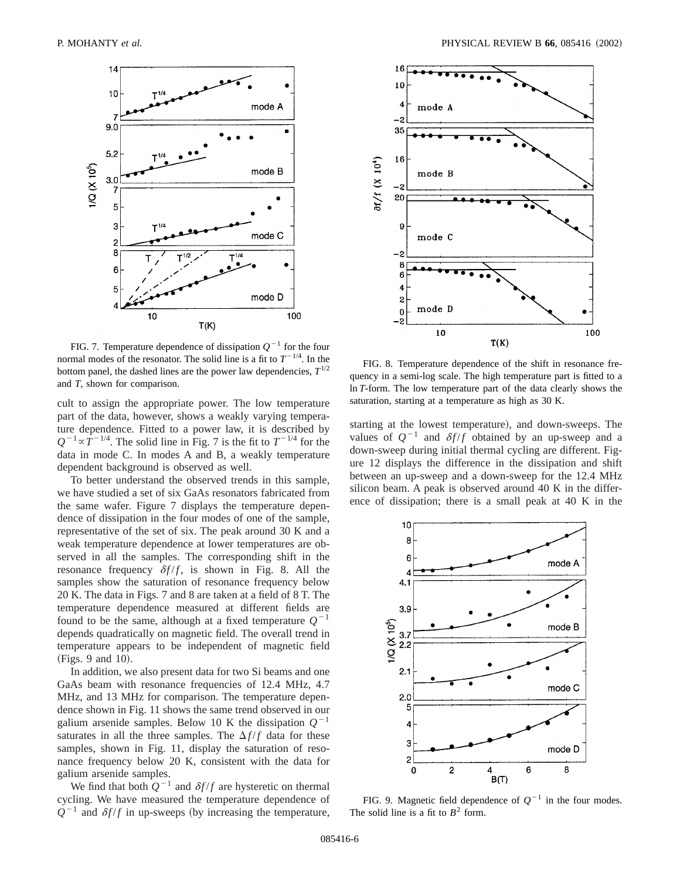

FIG. 7. Temperature dependence of dissipation  $Q^{-1}$  for the four normal modes of the resonator. The solid line is a fit to  $T^{-1/4}$ . In the bottom panel, the dashed lines are the power law dependencies,  $T^{1/2}$ and *T*, shown for comparison.

cult to assign the appropriate power. The low temperature part of the data, however, shows a weakly varying temperature dependence. Fitted to a power law, it is described by  $Q^{-1} \propto T^{-1/4}$ . The solid line in Fig. 7 is the fit to  $T^{-1/4}$  for the data in mode C. In modes A and B, a weakly temperature dependent background is observed as well.

To better understand the observed trends in this sample, we have studied a set of six GaAs resonators fabricated from the same wafer. Figure 7 displays the temperature dependence of dissipation in the four modes of one of the sample, representative of the set of six. The peak around 30 K and a weak temperature dependence at lower temperatures are observed in all the samples. The corresponding shift in the resonance frequency  $\delta f/f$ , is shown in Fig. 8. All the samples show the saturation of resonance frequency below 20 K. The data in Figs. 7 and 8 are taken at a field of 8 T. The temperature dependence measured at different fields are found to be the same, although at a fixed temperature  $Q^{-1}$ depends quadratically on magnetic field. The overall trend in temperature appears to be independent of magnetic field  $(Figs. 9$  and 10).

In addition, we also present data for two Si beams and one GaAs beam with resonance frequencies of 12.4 MHz, 4.7 MHz, and 13 MHz for comparison. The temperature dependence shown in Fig. 11 shows the same trend observed in our galium arsenide samples. Below 10 K the dissipation  $Q^{-1}$ saturates in all the three samples. The  $\Delta f/f$  data for these samples, shown in Fig. 11, display the saturation of resonance frequency below 20 K, consistent with the data for galium arsenide samples.

We find that both  $Q^{-1}$  and  $\delta f/f$  are hysteretic on thermal cycling. We have measured the temperature dependence of  $Q^{-1}$  and  $\delta f/f$  in up-sweeps (by increasing the temperature,



FIG. 8. Temperature dependence of the shift in resonance frequency in a semi-log scale. The high temperature part is fitted to a ln *T*-form. The low temperature part of the data clearly shows the saturation, starting at a temperature as high as 30 K.

starting at the lowest temperature), and down-sweeps. The values of  $Q^{-1}$  and  $\delta f/f$  obtained by an up-sweep and a down-sweep during initial thermal cycling are different. Figure 12 displays the difference in the dissipation and shift between an up-sweep and a down-sweep for the 12.4 MHz silicon beam. A peak is observed around 40 K in the difference of dissipation; there is a small peak at 40 K in the



FIG. 9. Magnetic field dependence of  $Q^{-1}$  in the four modes. The solid line is a fit to  $B<sup>2</sup>$  form.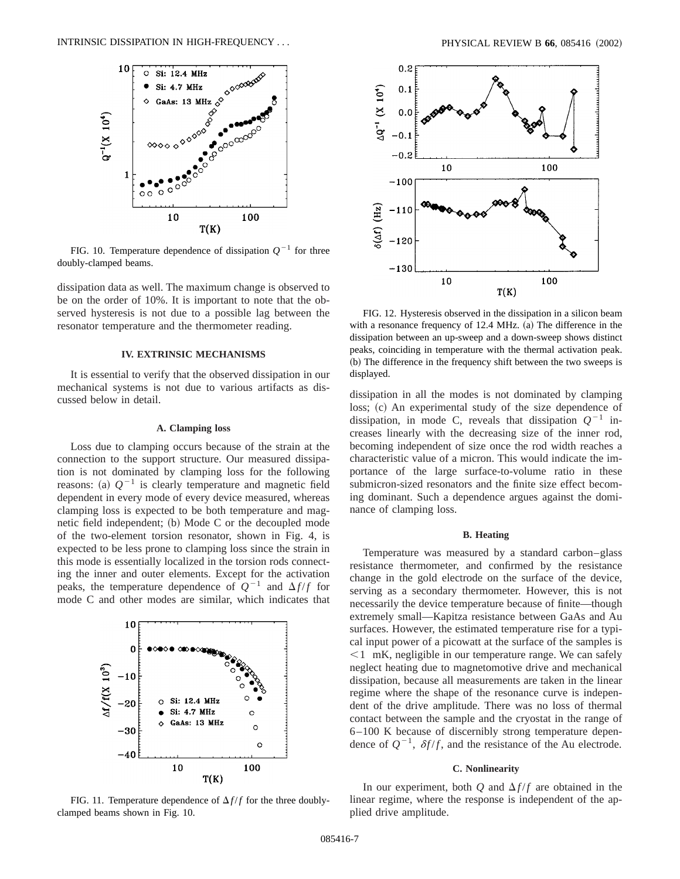

FIG. 10. Temperature dependence of dissipation  $Q^{-1}$  for three doubly-clamped beams.

dissipation data as well. The maximum change is observed to be on the order of 10%. It is important to note that the observed hysteresis is not due to a possible lag between the resonator temperature and the thermometer reading.

## **IV. EXTRINSIC MECHANISMS**

It is essential to verify that the observed dissipation in our mechanical systems is not due to various artifacts as discussed below in detail.

### **A. Clamping loss**

Loss due to clamping occurs because of the strain at the connection to the support structure. Our measured dissipation is not dominated by clamping loss for the following reasons: (a)  $Q^{-1}$  is clearly temperature and magnetic field dependent in every mode of every device measured, whereas clamping loss is expected to be both temperature and magnetic field independent;  $(b)$  Mode C or the decoupled mode of the two-element torsion resonator, shown in Fig. 4, is expected to be less prone to clamping loss since the strain in this mode is essentially localized in the torsion rods connecting the inner and outer elements. Except for the activation peaks, the temperature dependence of  $Q^{-1}$  and  $\Delta f/f$  for mode C and other modes are similar, which indicates that





FIG. 12. Hysteresis observed in the dissipation in a silicon beam with a resonance frequency of  $12.4 \text{ MHz}$ . (a) The difference in the dissipation between an up-sweep and a down-sweep shows distinct peaks, coinciding in temperature with the thermal activation peak. (b) The difference in the frequency shift between the two sweeps is displayed.

dissipation in all the modes is not dominated by clamping loss; (c) An experimental study of the size dependence of dissipation, in mode C, reveals that dissipation  $Q^{-1}$  increases linearly with the decreasing size of the inner rod, becoming independent of size once the rod width reaches a characteristic value of a micron. This would indicate the importance of the large surface-to-volume ratio in these submicron-sized resonators and the finite size effect becoming dominant. Such a dependence argues against the dominance of clamping loss.

## **B. Heating**

Temperature was measured by a standard carbon–glass resistance thermometer, and confirmed by the resistance change in the gold electrode on the surface of the device, serving as a secondary thermometer. However, this is not necessarily the device temperature because of finite—though extremely small—Kapitza resistance between GaAs and Au surfaces. However, the estimated temperature rise for a typical input power of a picowatt at the surface of the samples is  $\leq$  1 mK, negligible in our temperature range. We can safely neglect heating due to magnetomotive drive and mechanical dissipation, because all measurements are taken in the linear regime where the shape of the resonance curve is independent of the drive amplitude. There was no loss of thermal contact between the sample and the cryostat in the range of 6–100 K because of discernibly strong temperature dependence of  $Q^{-1}$ ,  $\delta f/f$ , and the resistance of the Au electrode.

# **C. Nonlinearity**

FIG. 11. Temperature dependence of  $\Delta f/f$  for the three doublyclamped beams shown in Fig. 10.

In our experiment, both  $Q$  and  $\Delta f/f$  are obtained in the linear regime, where the response is independent of the applied drive amplitude.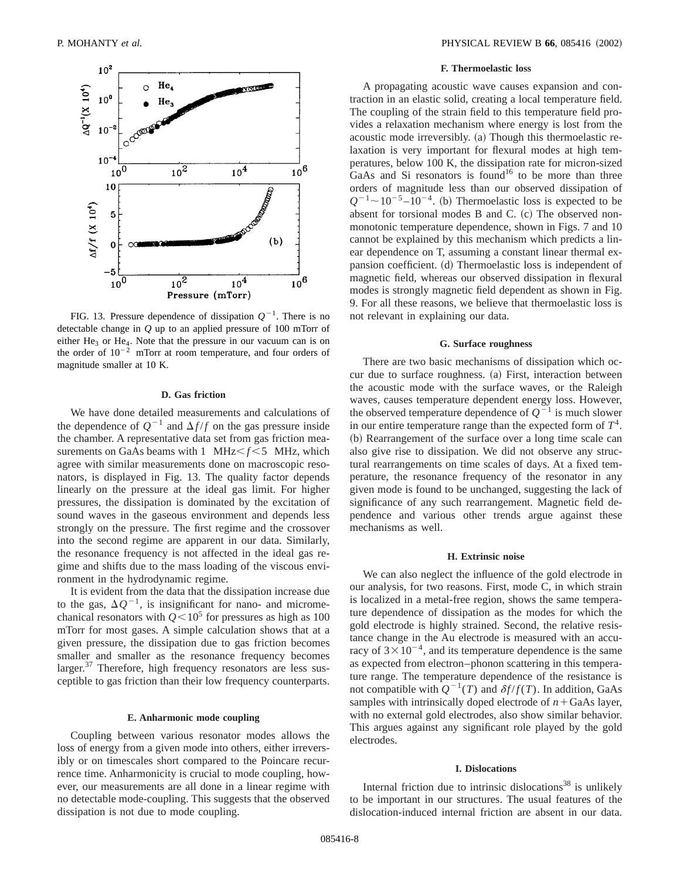

FIG. 13. Pressure dependence of dissipation  $Q^{-1}$ . There is no detectable change in *Q* up to an applied pressure of 100 mTorr of either  $He_3$  or  $He_4$ . Note that the pressure in our vacuum can is on the order of  $10^{-2}$  mTorr at room temperature, and four orders of magnitude smaller at 10 K.

### **D. Gas friction**

We have done detailed measurements and calculations of the dependence of  $Q^{-1}$  and  $\Delta f/f$  on the gas pressure inside the chamber. A representative data set from gas friction measurements on GaAs beams with  $1$  MHz $\leq f \leq 5$  MHz, which agree with similar measurements done on macroscopic resonators, is displayed in Fig. 13. The quality factor depends linearly on the pressure at the ideal gas limit. For higher pressures, the dissipation is dominated by the excitation of sound waves in the gaseous environment and depends less strongly on the pressure. The first regime and the crossover into the second regime are apparent in our data. Similarly, the resonance frequency is not affected in the ideal gas regime and shifts due to the mass loading of the viscous environment in the hydrodynamic regime.

It is evident from the data that the dissipation increase due to the gas,  $\Delta Q^{-1}$ , is insignificant for nano- and micromechanical resonators with  $Q<10<sup>5</sup>$  for pressures as high as 100 mTorr for most gases. A simple calculation shows that at a given pressure, the dissipation due to gas friction becomes smaller and smaller as the resonance frequency becomes larger. $37$  Therefore, high frequency resonators are less susceptible to gas friction than their low frequency counterparts.

#### **E. Anharmonic mode coupling**

Coupling between various resonator modes allows the loss of energy from a given mode into others, either irreversibly or on timescales short compared to the Poincare recurrence time. Anharmonicity is crucial to mode coupling, however, our measurements are all done in a linear regime with no detectable mode-coupling. This suggests that the observed dissipation is not due to mode coupling.

### **F. Thermoelastic loss**

A propagating acoustic wave causes expansion and contraction in an elastic solid, creating a local temperature field. The coupling of the strain field to this temperature field provides a relaxation mechanism where energy is lost from the acoustic mode irreversibly. (a) Though this thermoelastic relaxation is very important for flexural modes at high temperatures, below 100 K, the dissipation rate for micron-sized GaAs and Si resonators is found<sup>16</sup> to be more than three orders of magnitude less than our observed dissipation of  $Q^{-1}$  ~ 10<sup>-5</sup>-10<sup>-4</sup>. (b) Thermoelastic loss is expected to be absent for torsional modes  $B$  and  $C$ .  $(c)$  The observed nonmonotonic temperature dependence, shown in Figs. 7 and 10 cannot be explained by this mechanism which predicts a linear dependence on T, assuming a constant linear thermal expansion coefficient. (d) Thermoelastic loss is independent of magnetic field, whereas our observed dissipation in flexural modes is strongly magnetic field dependent as shown in Fig. 9. For all these reasons, we believe that thermoelastic loss is not relevant in explaining our data.

#### **G. Surface roughness**

There are two basic mechanisms of dissipation which occur due to surface roughness. (a) First, interaction between the acoustic mode with the surface waves, or the Raleigh waves, causes temperature dependent energy loss. However, the observed temperature dependence of  $Q^{-1}$  is much slower in our entire temperature range than the expected form of  $T<sup>4</sup>$ . (b) Rearrangement of the surface over a long time scale can also give rise to dissipation. We did not observe any structural rearrangements on time scales of days. At a fixed temperature, the resonance frequency of the resonator in any given mode is found to be unchanged, suggesting the lack of significance of any such rearrangement. Magnetic field dependence and various other trends argue against these mechanisms as well.

#### **H. Extrinsic noise**

We can also neglect the influence of the gold electrode in our analysis, for two reasons. First, mode C, in which strain is localized in a metal-free region, shows the same temperature dependence of dissipation as the modes for which the gold electrode is highly strained. Second, the relative resistance change in the Au electrode is measured with an accuracy of  $3 \times 10^{-4}$ , and its temperature dependence is the same as expected from electron–phonon scattering in this temperature range. The temperature dependence of the resistance is not compatible with  $Q^{-1}(T)$  and  $\delta f / f(T)$ . In addition, GaAs samples with intrinsically doped electrode of  $n + GaAs$  layer, with no external gold electrodes, also show similar behavior. This argues against any significant role played by the gold electrodes.

### **I. Dislocations**

Internal friction due to intrinsic dislocations $38$  is unlikely to be important in our structures. The usual features of the dislocation-induced internal friction are absent in our data.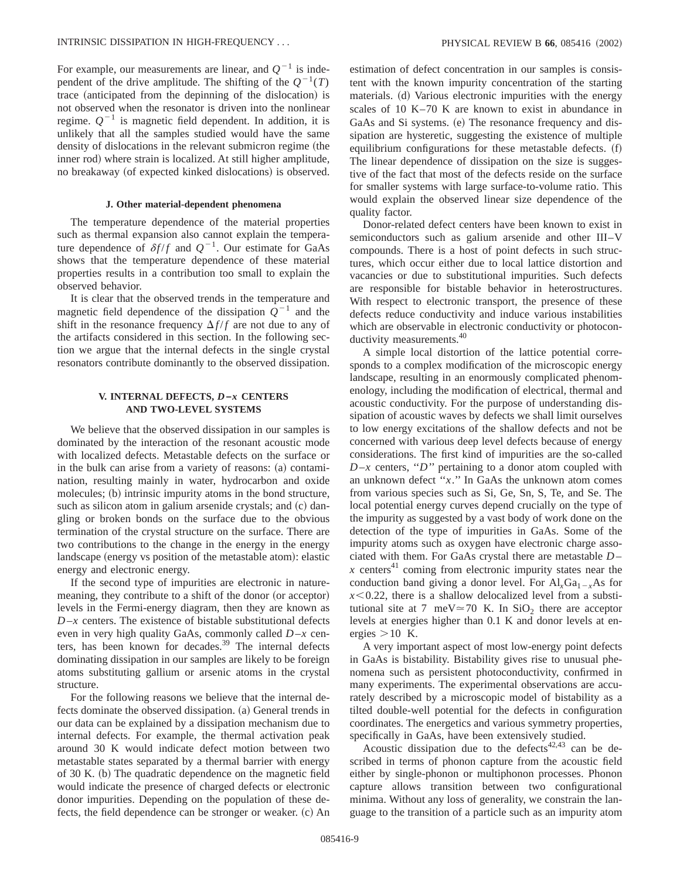For example, our measurements are linear, and  $Q^{-1}$  is independent of the drive amplitude. The shifting of the  $Q^{-1}(T)$ trace (anticipated from the depinning of the dislocation) is not observed when the resonator is driven into the nonlinear regime.  $Q^{-1}$  is magnetic field dependent. In addition, it is unlikely that all the samples studied would have the same density of dislocations in the relevant submicron regime (the inner rod) where strain is localized. At still higher amplitude, no breakaway (of expected kinked dislocations) is observed.

## **J. Other material-dependent phenomena**

The temperature dependence of the material properties such as thermal expansion also cannot explain the temperature dependence of  $\delta f/f$  and  $Q^{-1}$ . Our estimate for GaAs shows that the temperature dependence of these material properties results in a contribution too small to explain the observed behavior.

It is clear that the observed trends in the temperature and magnetic field dependence of the dissipation  $Q^{-1}$  and the shift in the resonance frequency  $\Delta f/f$  are not due to any of the artifacts considered in this section. In the following section we argue that the internal defects in the single crystal resonators contribute dominantly to the observed dissipation.

## **V. INTERNAL DEFECTS,** *D* **–***x* **CENTERS AND TWO-LEVEL SYSTEMS**

We believe that the observed dissipation in our samples is dominated by the interaction of the resonant acoustic mode with localized defects. Metastable defects on the surface or in the bulk can arise from a variety of reasons:  $(a)$  contamination, resulting mainly in water, hydrocarbon and oxide molecules; (b) intrinsic impurity atoms in the bond structure, such as silicon atom in galium arsenide crystals; and  $(c)$  dangling or broken bonds on the surface due to the obvious termination of the crystal structure on the surface. There are two contributions to the change in the energy in the energy landscape (energy vs position of the metastable atom): elastic energy and electronic energy.

If the second type of impurities are electronic in naturemeaning, they contribute to a shift of the donor (or acceptor) levels in the Fermi-energy diagram, then they are known as  $D-x$  centers. The existence of bistable substitutional defects even in very high quality GaAs, commonly called *D* –*x* centers, has been known for decades. $39$  The internal defects dominating dissipation in our samples are likely to be foreign atoms substituting gallium or arsenic atoms in the crystal structure.

For the following reasons we believe that the internal defects dominate the observed dissipation. (a) General trends in our data can be explained by a dissipation mechanism due to internal defects. For example, the thermal activation peak around 30 K would indicate defect motion between two metastable states separated by a thermal barrier with energy of 30 K.  $(b)$  The quadratic dependence on the magnetic field would indicate the presence of charged defects or electronic donor impurities. Depending on the population of these defects, the field dependence can be stronger or weaker.  $(c)$  An

estimation of defect concentration in our samples is consistent with the known impurity concentration of the starting materials. (d) Various electronic impurities with the energy scales of 10 K–70 K are known to exist in abundance in GaAs and Si systems. (e) The resonance frequency and dissipation are hysteretic, suggesting the existence of multiple equilibrium configurations for these metastable defects.  $(f)$ The linear dependence of dissipation on the size is suggestive of the fact that most of the defects reside on the surface for smaller systems with large surface-to-volume ratio. This would explain the observed linear size dependence of the quality factor.

Donor-related defect centers have been known to exist in semiconductors such as galium arsenide and other III–V compounds. There is a host of point defects in such structures, which occur either due to local lattice distortion and vacancies or due to substitutional impurities. Such defects are responsible for bistable behavior in heterostructures. With respect to electronic transport, the presence of these defects reduce conductivity and induce various instabilities which are observable in electronic conductivity or photoconductivity measurements.<sup>40</sup>

A simple local distortion of the lattice potential corresponds to a complex modification of the microscopic energy landscape, resulting in an enormously complicated phenomenology, including the modification of electrical, thermal and acoustic conductivity. For the purpose of understanding dissipation of acoustic waves by defects we shall limit ourselves to low energy excitations of the shallow defects and not be concerned with various deep level defects because of energy considerations. The first kind of impurities are the so-called  $D-x$  centers, " $D$ " pertaining to a donor atom coupled with an unknown defect ''*x*.'' In GaAs the unknown atom comes from various species such as Si, Ge, Sn, S, Te, and Se. The local potential energy curves depend crucially on the type of the impurity as suggested by a vast body of work done on the detection of the type of impurities in GaAs. Some of the impurity atoms such as oxygen have electronic charge associated with them. For GaAs crystal there are metastable *D* –  $\chi$  centers<sup>41</sup> coming from electronic impurity states near the conduction band giving a donor level. For  $Al_xGa_{1-x}As$  for  $x \le 0.22$ , there is a shallow delocalized level from a substitutional site at 7 meV $\simeq$ 70 K. In SiO<sub>2</sub> there are acceptor levels at energies higher than 0.1 K and donor levels at energies  $>10$  K.

A very important aspect of most low-energy point defects in GaAs is bistability. Bistability gives rise to unusual phenomena such as persistent photoconductivity, confirmed in many experiments. The experimental observations are accurately described by a microscopic model of bistability as a tilted double-well potential for the defects in configuration coordinates. The energetics and various symmetry properties, specifically in GaAs, have been extensively studied.

Acoustic dissipation due to the defects<sup>42,43</sup> can be described in terms of phonon capture from the acoustic field either by single-phonon or multiphonon processes. Phonon capture allows transition between two configurational minima. Without any loss of generality, we constrain the language to the transition of a particle such as an impurity atom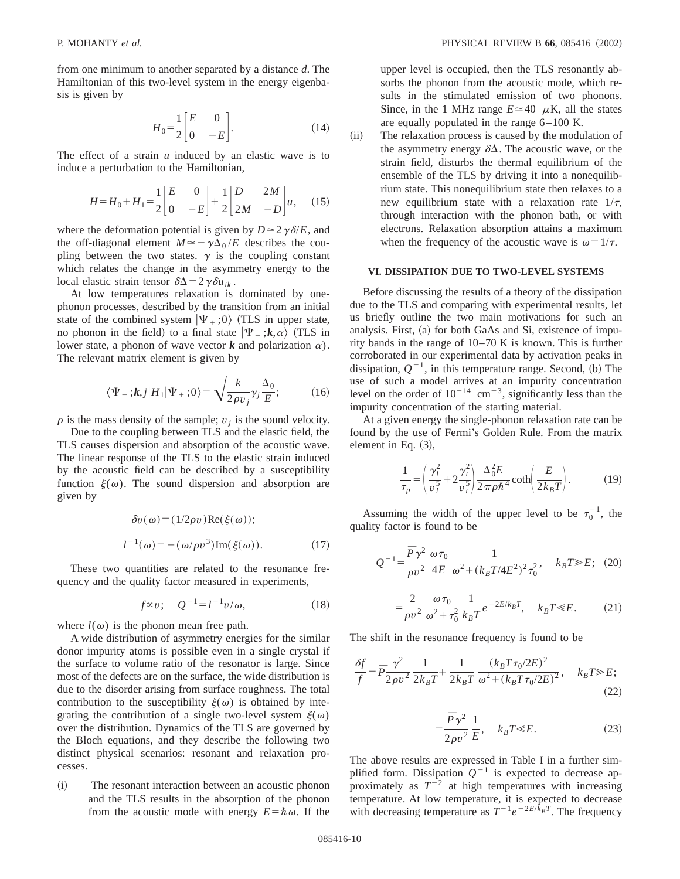from one minimum to another separated by a distance *d*. The Hamiltonian of this two-level system in the energy eigenbasis is given by

$$
H_0 = \frac{1}{2} \begin{bmatrix} E & 0 \\ 0 & -E \end{bmatrix} . \tag{14}
$$

The effect of a strain *u* induced by an elastic wave is to induce a perturbation to the Hamiltonian,

$$
H = H_0 + H_1 = \frac{1}{2} \begin{bmatrix} E & 0 \\ 0 & -E \end{bmatrix} + \frac{1}{2} \begin{bmatrix} D & 2M \\ 2M & -D \end{bmatrix} u,
$$
 (15)

where the deformation potential is given by  $D \approx 2 \gamma \delta/E$ , and the off-diagonal element  $M \approx -\gamma \Delta_0 / E$  describes the coupling between the two states.  $\gamma$  is the coupling constant which relates the change in the asymmetry energy to the local elastic strain tensor  $\delta \Delta = 2 \gamma \delta u_{ik}$ .

At low temperatures relaxation is dominated by onephonon processes, described by the transition from an initial state of the combined system  $|\Psi_+;0\rangle$  (TLS in upper state, no phonon in the field) to a final state  $|\Psi_{-};k,\alpha\rangle$  (TLS in lower state, a phonon of wave vector  $k$  and polarization  $\alpha$ ). The relevant matrix element is given by

$$
\langle \Psi_-; k, j | H_1 | \Psi_+; 0 \rangle = \sqrt{\frac{k}{2\rho v_j}} \gamma_j \frac{\Delta_0}{E};\tag{16}
$$

 $\rho$  is the mass density of the sample;  $v_j$  is the sound velocity.

Due to the coupling between TLS and the elastic field, the TLS causes dispersion and absorption of the acoustic wave. The linear response of the TLS to the elastic strain induced by the acoustic field can be described by a susceptibility function  $\xi(\omega)$ . The sound dispersion and absorption are given by

$$
\delta v(\omega) = (1/2\rho v) \text{Re}(\xi(\omega));
$$
  

$$
l^{-1}(\omega) = -(\omega/\rho v^3) \text{Im}(\xi(\omega)).
$$
 (17)

These two quantities are related to the resonance frequency and the quality factor measured in experiments,

$$
f^{\alpha}v; \quad Q^{-1} = l^{-1}v/\omega, \tag{18}
$$

where  $l(\omega)$  is the phonon mean free path.

A wide distribution of asymmetry energies for the similar donor impurity atoms is possible even in a single crystal if the surface to volume ratio of the resonator is large. Since most of the defects are on the surface, the wide distribution is due to the disorder arising from surface roughness. The total contribution to the susceptibility  $\xi(\omega)$  is obtained by integrating the contribution of a single two-level system  $\xi(\omega)$ over the distribution. Dynamics of the TLS are governed by the Bloch equations, and they describe the following two distinct physical scenarios: resonant and relaxation processes.

(i) The resonant interaction between an acoustic phonon and the TLS results in the absorption of the phonon from the acoustic mode with energy  $E=\hbar\omega$ . If the upper level is occupied, then the TLS resonantly absorbs the phonon from the acoustic mode, which results in the stimulated emission of two phonons. Since, in the 1 MHz range  $E \approx 40 \mu K$ , all the states are equally populated in the range 6–100 K.

(ii) The relaxation process is caused by the modulation of the asymmetry energy  $\delta\Delta$ . The acoustic wave, or the strain field, disturbs the thermal equilibrium of the ensemble of the TLS by driving it into a nonequilibrium state. This nonequilibrium state then relaxes to a new equilibrium state with a relaxation rate  $1/\tau$ , through interaction with the phonon bath, or with electrons. Relaxation absorption attains a maximum when the frequency of the acoustic wave is  $\omega = 1/\tau$ .

### **VI. DISSIPATION DUE TO TWO-LEVEL SYSTEMS**

Before discussing the results of a theory of the dissipation due to the TLS and comparing with experimental results, let us briefly outline the two main motivations for such an analysis. First, (a) for both GaAs and Si, existence of impurity bands in the range of 10–70 K is known. This is further corroborated in our experimental data by activation peaks in dissipation,  $Q^{-1}$ , in this temperature range. Second, (b) The use of such a model arrives at an impurity concentration level on the order of  $10^{-14}$  cm<sup>-3</sup>, significantly less than the impurity concentration of the starting material.

At a given energy the single-phonon relaxation rate can be found by the use of Fermi's Golden Rule. From the matrix element in Eq.  $(3)$ ,

$$
\frac{1}{\tau_p} = \left(\frac{\gamma_l^2}{v_l^5} + 2\frac{\gamma_l^2}{v_l^5}\right) \frac{\Delta_0^2 E}{2\pi \rho \hbar^4} \coth\left(\frac{E}{2k_B T}\right). \tag{19}
$$

Assuming the width of the upper level to be  $\tau_0^{-1}$ , the quality factor is found to be

$$
Q^{-1} = \frac{\overline{P}\gamma^2}{\rho v^2} \frac{\omega \tau_0}{4E} \frac{1}{\omega^2 + (k_B T/4E^2)^2 \tau_0^2}, \quad k_B T \gg E; \quad (20)
$$

$$
=\frac{2}{\rho v^2}\frac{\omega\tau_0}{\omega^2+\tau_0^2}\frac{1}{k_BT}e^{-2E/k_BT},\quad k_BT\ll E.\tag{21}
$$

The shift in the resonance frequency is found to be

$$
\frac{\delta f}{f} = \bar{P} \frac{\gamma^2}{2\rho v^2} \frac{1}{2k_B T} + \frac{1}{2k_B T} \frac{(k_B T \tau_0 / 2E)^2}{\omega^2 + (k_B T \tau_0 / 2E)^2}, \quad k_B T \gg E;
$$
\n(22)

$$
=\frac{\bar{P}\gamma^2}{2\rho v^2}\frac{1}{E}, \quad k_B T \ll E. \tag{23}
$$

The above results are expressed in Table I in a further simplified form. Dissipation  $Q^{-1}$  is expected to decrease approximately as  $T^{-2}$  at high temperatures with increasing temperature. At low temperature, it is expected to decrease with decreasing temperature as  $T^{-1}e^{-2E/\bar{k}_B T}$ . The frequency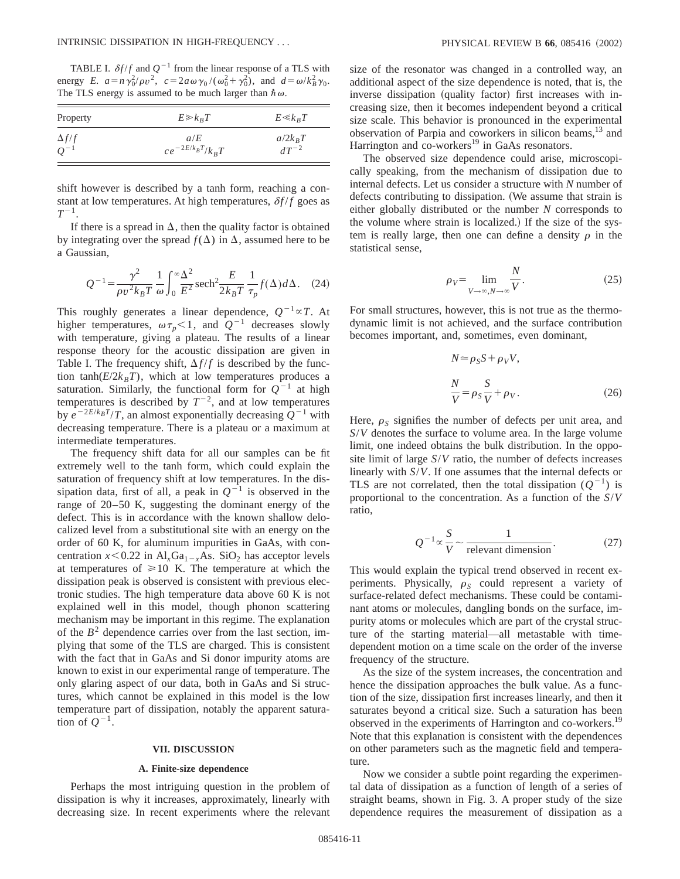TABLE I.  $\delta f/f$  and  $Q^{-1}$  from the linear response of a TLS with energy *E*.  $a = n \gamma_0^2 / \rho v^2$ ,  $c = 2a \omega \gamma_0 / (\omega_0^2 + \gamma_0^2)$ , and  $d = \omega / k_B^2 \gamma_0$ . The TLS energy is assumed to be much larger than  $\hbar \omega$ .

| Property     | $E \gg k_B T$        | $E \ll k_B T$ |
|--------------|----------------------|---------------|
| $\Delta f/f$ | a/E                  | $a/2k_BT$     |
| $Q^{-1}$     | $ce^{-2E/k_BT}/k_BT$ | $dT^{-2}$     |

shift however is described by a tanh form, reaching a constant at low temperatures. At high temperatures,  $\delta f / f$  goes as  $T^{-1}$ .

If there is a spread in  $\Delta$ , then the quality factor is obtained by integrating over the spread  $f(\Delta)$  in  $\Delta$ , assumed here to be a Gaussian,

$$
Q^{-1} = \frac{\gamma^2}{\rho v^2 k_B T} \frac{1}{\omega} \int_0^\infty \frac{\Delta^2}{E^2} \operatorname{sech}^2 \frac{E}{2k_B T} \frac{1}{\tau_p} f(\Delta) d\Delta. \quad (24)
$$

This roughly generates a linear dependence,  $Q^{-1} \propto T$ . At higher temperatures,  $\omega \tau_p < 1$ , and  $Q^{-1}$  decreases slowly with temperature, giving a plateau. The results of a linear response theory for the acoustic dissipation are given in Table I. The frequency shift,  $\Delta f/f$  is described by the function tanh( $E/2k_BT$ ), which at low temperatures produces a saturation. Similarly, the functional form for  $Q^{-1}$  at high temperatures is described by  $T^{-2}$ , and at low temperatures by  $e^{-2E/k_BT}/T$ , an almost exponentially decreasing  $Q^{-1}$  with decreasing temperature. There is a plateau or a maximum at intermediate temperatures.

The frequency shift data for all our samples can be fit extremely well to the tanh form, which could explain the saturation of frequency shift at low temperatures. In the dissipation data, first of all, a peak in  $Q^{-1}$  is observed in the range of 20–50 K, suggesting the dominant energy of the defect. This is in accordance with the known shallow delocalized level from a substitutional site with an energy on the order of 60 K, for aluminum impurities in GaAs, with concentration  $x \le 0.22$  in Al<sub>x</sub>Ga<sub>1-x</sub>As. SiO<sub>2</sub> has acceptor levels at temperatures of  $\geq 10$  K. The temperature at which the dissipation peak is observed is consistent with previous electronic studies. The high temperature data above 60 K is not explained well in this model, though phonon scattering mechanism may be important in this regime. The explanation of the  $B<sup>2</sup>$  dependence carries over from the last section, implying that some of the TLS are charged. This is consistent with the fact that in GaAs and Si donor impurity atoms are known to exist in our experimental range of temperature. The only glaring aspect of our data, both in GaAs and Si structures, which cannot be explained in this model is the low temperature part of dissipation, notably the apparent saturation of  $Q^{-1}$ .

#### **VII. DISCUSSION**

## **A. Finite-size dependence**

Perhaps the most intriguing question in the problem of dissipation is why it increases, approximately, linearly with decreasing size. In recent experiments where the relevant size of the resonator was changed in a controlled way, an additional aspect of the size dependence is noted, that is, the inverse dissipation (quality factor) first increases with increasing size, then it becomes independent beyond a critical size scale. This behavior is pronounced in the experimental observation of Parpia and coworkers in silicon beams,<sup>13</sup> and Harrington and  $co$ -workers<sup>19</sup> in GaAs resonators.

The observed size dependence could arise, microscopically speaking, from the mechanism of dissipation due to internal defects. Let us consider a structure with *N* number of defects contributing to dissipation. (We assume that strain is either globally distributed or the number *N* corresponds to the volume where strain is localized.) If the size of the system is really large, then one can define a density  $\rho$  in the statistical sense,

$$
\rho_V = \lim_{V \to \infty, N \to \infty} \frac{N}{V}.
$$
\n(25)

For small structures, however, this is not true as the thermodynamic limit is not achieved, and the surface contribution becomes important, and, sometimes, even dominant,

$$
N \approx \rho_S S + \rho_V V,
$$
  
\n
$$
\frac{N}{V} = \rho_S \frac{S}{V} + \rho_V.
$$
 (26)

Here,  $\rho_S$  signifies the number of defects per unit area, and *S*/*V* denotes the surface to volume area. In the large volume limit, one indeed obtains the bulk distribution. In the opposite limit of large *S*/*V* ratio, the number of defects increases linearly with *S*/*V*. If one assumes that the internal defects or TLS are not correlated, then the total dissipation  $(Q^{-1})$  is proportional to the concentration. As a function of the *S*/*V* ratio,

$$
Q^{-1} \propto \frac{S}{V} \sim \frac{1}{\text{relevant dimension}}.\tag{27}
$$

This would explain the typical trend observed in recent experiments. Physically,  $\rho_S$  could represent a variety of surface-related defect mechanisms. These could be contaminant atoms or molecules, dangling bonds on the surface, impurity atoms or molecules which are part of the crystal structure of the starting material—all metastable with timedependent motion on a time scale on the order of the inverse frequency of the structure.

As the size of the system increases, the concentration and hence the dissipation approaches the bulk value. As a function of the size, dissipation first increases linearly, and then it saturates beyond a critical size. Such a saturation has been observed in the experiments of Harrington and co-workers.19 Note that this explanation is consistent with the dependences on other parameters such as the magnetic field and temperature.

Now we consider a subtle point regarding the experimental data of dissipation as a function of length of a series of straight beams, shown in Fig. 3. A proper study of the size dependence requires the measurement of dissipation as a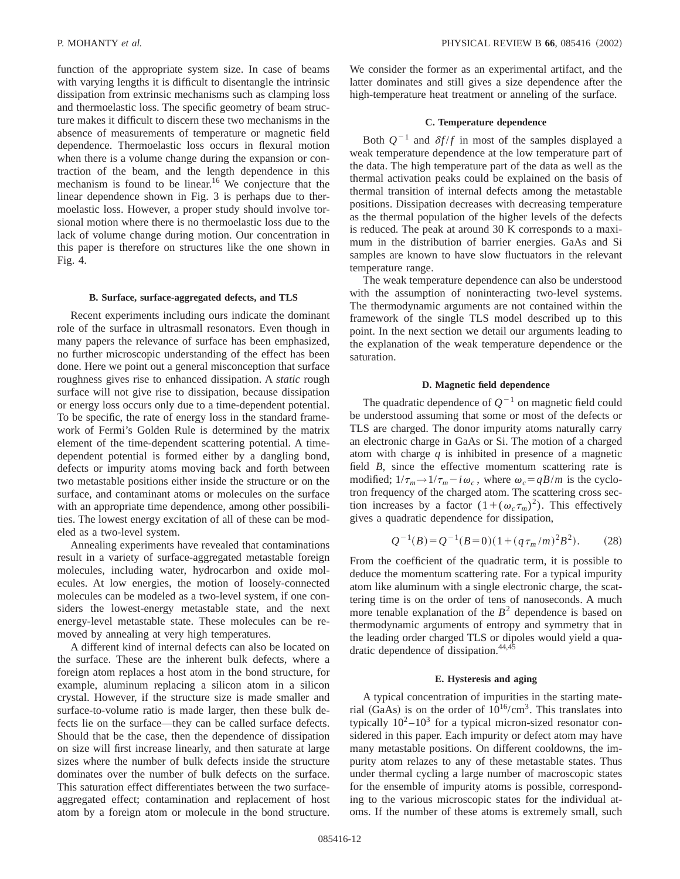function of the appropriate system size. In case of beams with varying lengths it is difficult to disentangle the intrinsic dissipation from extrinsic mechanisms such as clamping loss and thermoelastic loss. The specific geometry of beam structure makes it difficult to discern these two mechanisms in the absence of measurements of temperature or magnetic field dependence. Thermoelastic loss occurs in flexural motion when there is a volume change during the expansion or contraction of the beam, and the length dependence in this mechanism is found to be linear.<sup>16</sup> We conjecture that the linear dependence shown in Fig. 3 is perhaps due to thermoelastic loss. However, a proper study should involve torsional motion where there is no thermoelastic loss due to the lack of volume change during motion. Our concentration in this paper is therefore on structures like the one shown in Fig. 4.

#### **B. Surface, surface-aggregated defects, and TLS**

Recent experiments including ours indicate the dominant role of the surface in ultrasmall resonators. Even though in many papers the relevance of surface has been emphasized, no further microscopic understanding of the effect has been done. Here we point out a general misconception that surface roughness gives rise to enhanced dissipation. A *static* rough surface will not give rise to dissipation, because dissipation or energy loss occurs only due to a time-dependent potential. To be specific, the rate of energy loss in the standard framework of Fermi's Golden Rule is determined by the matrix element of the time-dependent scattering potential. A timedependent potential is formed either by a dangling bond, defects or impurity atoms moving back and forth between two metastable positions either inside the structure or on the surface, and contaminant atoms or molecules on the surface with an appropriate time dependence, among other possibilities. The lowest energy excitation of all of these can be modeled as a two-level system.

Annealing experiments have revealed that contaminations result in a variety of surface-aggregated metastable foreign molecules, including water, hydrocarbon and oxide molecules. At low energies, the motion of loosely-connected molecules can be modeled as a two-level system, if one considers the lowest-energy metastable state, and the next energy-level metastable state. These molecules can be removed by annealing at very high temperatures.

A different kind of internal defects can also be located on the surface. These are the inherent bulk defects, where a foreign atom replaces a host atom in the bond structure, for example, aluminum replacing a silicon atom in a silicon crystal. However, if the structure size is made smaller and surface-to-volume ratio is made larger, then these bulk defects lie on the surface—they can be called surface defects. Should that be the case, then the dependence of dissipation on size will first increase linearly, and then saturate at large sizes where the number of bulk defects inside the structure dominates over the number of bulk defects on the surface. This saturation effect differentiates between the two surfaceaggregated effect; contamination and replacement of host atom by a foreign atom or molecule in the bond structure.

We consider the former as an experimental artifact, and the latter dominates and still gives a size dependence after the high-temperature heat treatment or anneling of the surface.

## **C. Temperature dependence**

Both  $Q^{-1}$  and  $\delta f/f$  in most of the samples displayed a weak temperature dependence at the low temperature part of the data. The high temperature part of the data as well as the thermal activation peaks could be explained on the basis of thermal transition of internal defects among the metastable positions. Dissipation decreases with decreasing temperature as the thermal population of the higher levels of the defects is reduced. The peak at around 30 K corresponds to a maximum in the distribution of barrier energies. GaAs and Si samples are known to have slow fluctuators in the relevant temperature range.

The weak temperature dependence can also be understood with the assumption of noninteracting two-level systems. The thermodynamic arguments are not contained within the framework of the single TLS model described up to this point. In the next section we detail our arguments leading to the explanation of the weak temperature dependence or the saturation.

### **D. Magnetic field dependence**

The quadratic dependence of  $Q^{-1}$  on magnetic field could be understood assuming that some or most of the defects or TLS are charged. The donor impurity atoms naturally carry an electronic charge in GaAs or Si. The motion of a charged atom with charge *q* is inhibited in presence of a magnetic field *B*, since the effective momentum scattering rate is modified;  $1/\tau_m \rightarrow 1/\tau_m - i\omega_c$ , where  $\omega_c = qB/m$  is the cyclotron frequency of the charged atom. The scattering cross section increases by a factor  $(1+(\omega_c \tau_m)^2)$ . This effectively gives a quadratic dependence for dissipation,

$$
Q^{-1}(B) = Q^{-1}(B=0)(1 + (q\tau_m/m)^2 B^2). \tag{28}
$$

From the coefficient of the quadratic term, it is possible to deduce the momentum scattering rate. For a typical impurity atom like aluminum with a single electronic charge, the scattering time is on the order of tens of nanoseconds. A much more tenable explanation of the  $B<sup>2</sup>$  dependence is based on thermodynamic arguments of entropy and symmetry that in the leading order charged TLS or dipoles would yield a quadratic dependence of dissipation.<sup>44,45</sup>

#### **E. Hysteresis and aging**

A typical concentration of impurities in the starting material (GaAs) is on the order of  $10^{16}$ /cm<sup>3</sup>. This translates into typically  $10^2 - 10^3$  for a typical micron-sized resonator considered in this paper. Each impurity or defect atom may have many metastable positions. On different cooldowns, the impurity atom relazes to any of these metastable states. Thus under thermal cycling a large number of macroscopic states for the ensemble of impurity atoms is possible, corresponding to the various microscopic states for the individual atoms. If the number of these atoms is extremely small, such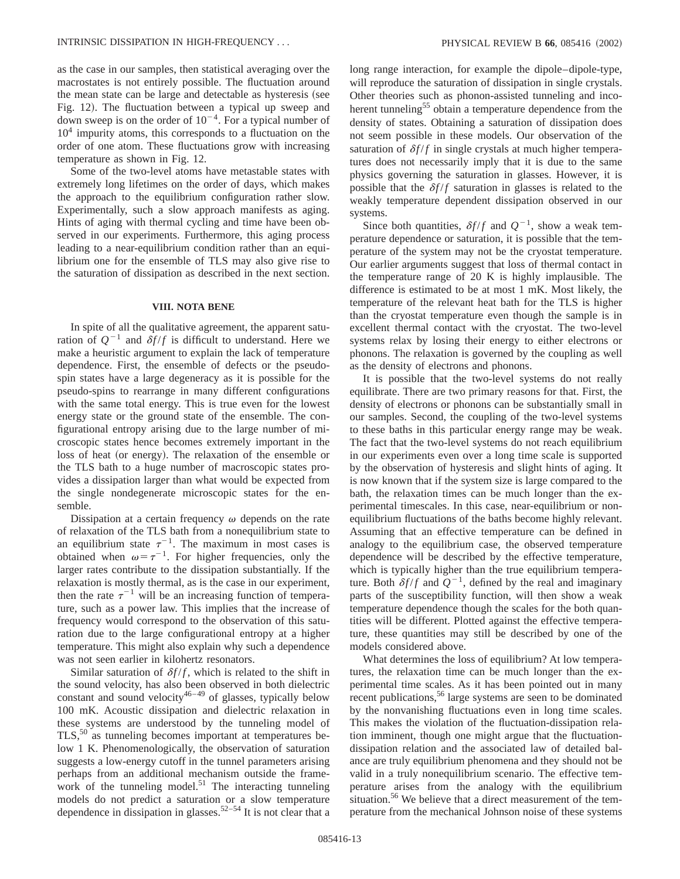as the case in our samples, then statistical averaging over the macrostates is not entirely possible. The fluctuation around the mean state can be large and detectable as hysteresis (see Fig. 12). The fluctuation between a typical up sweep and down sweep is on the order of  $10^{-4}$ . For a typical number of  $10<sup>4</sup>$  impurity atoms, this corresponds to a fluctuation on the order of one atom. These fluctuations grow with increasing temperature as shown in Fig. 12.

Some of the two-level atoms have metastable states with extremely long lifetimes on the order of days, which makes the approach to the equilibrium configuration rather slow. Experimentally, such a slow approach manifests as aging. Hints of aging with thermal cycling and time have been observed in our experiments. Furthermore, this aging process leading to a near-equilibrium condition rather than an equilibrium one for the ensemble of TLS may also give rise to the saturation of dissipation as described in the next section.

#### **VIII. NOTA BENE**

In spite of all the qualitative agreement, the apparent saturation of  $Q^{-1}$  and  $\delta f/f$  is difficult to understand. Here we make a heuristic argument to explain the lack of temperature dependence. First, the ensemble of defects or the pseudospin states have a large degeneracy as it is possible for the pseudo-spins to rearrange in many different configurations with the same total energy. This is true even for the lowest energy state or the ground state of the ensemble. The configurational entropy arising due to the large number of microscopic states hence becomes extremely important in the loss of heat (or energy). The relaxation of the ensemble or the TLS bath to a huge number of macroscopic states provides a dissipation larger than what would be expected from the single nondegenerate microscopic states for the ensemble.

Dissipation at a certain frequency  $\omega$  depends on the rate of relaxation of the TLS bath from a nonequilibrium state to an equilibrium state  $\tau^{-1}$ . The maximum in most cases is obtained when  $\omega = \tau^{-1}$ . For higher frequencies, only the larger rates contribute to the dissipation substantially. If the relaxation is mostly thermal, as is the case in our experiment, then the rate  $\tau^{-1}$  will be an increasing function of temperature, such as a power law. This implies that the increase of frequency would correspond to the observation of this saturation due to the large configurational entropy at a higher temperature. This might also explain why such a dependence was not seen earlier in kilohertz resonators.

Similar saturation of  $\delta f/f$ , which is related to the shift in the sound velocity, has also been observed in both dielectric constant and sound velocity $46-49$  of glasses, typically below 100 mK. Acoustic dissipation and dielectric relaxation in these systems are understood by the tunneling model of  $TLS$ <sup>50</sup> as tunneling becomes important at temperatures below 1 K. Phenomenologically, the observation of saturation suggests a low-energy cutoff in the tunnel parameters arising perhaps from an additional mechanism outside the framework of the tunneling model. $51$  The interacting tunneling models do not predict a saturation or a slow temperature dependence in dissipation in glasses.<sup>52–54</sup> It is not clear that a

long range interaction, for example the dipole–dipole-type, will reproduce the saturation of dissipation in single crystals. Other theories such as phonon-assisted tunneling and incoherent tunneling<sup>55</sup> obtain a temperature dependence from the density of states. Obtaining a saturation of dissipation does not seem possible in these models. Our observation of the saturation of  $\delta f / f$  in single crystals at much higher temperatures does not necessarily imply that it is due to the same physics governing the saturation in glasses. However, it is possible that the  $\delta f / f$  saturation in glasses is related to the weakly temperature dependent dissipation observed in our systems.

Since both quantities,  $\delta f/f$  and  $Q^{-1}$ , show a weak temperature dependence or saturation, it is possible that the temperature of the system may not be the cryostat temperature. Our earlier arguments suggest that loss of thermal contact in the temperature range of 20 K is highly implausible. The difference is estimated to be at most 1 mK. Most likely, the temperature of the relevant heat bath for the TLS is higher than the cryostat temperature even though the sample is in excellent thermal contact with the cryostat. The two-level systems relax by losing their energy to either electrons or phonons. The relaxation is governed by the coupling as well as the density of electrons and phonons.

It is possible that the two-level systems do not really equilibrate. There are two primary reasons for that. First, the density of electrons or phonons can be substantially small in our samples. Second, the coupling of the two-level systems to these baths in this particular energy range may be weak. The fact that the two-level systems do not reach equilibrium in our experiments even over a long time scale is supported by the observation of hysteresis and slight hints of aging. It is now known that if the system size is large compared to the bath, the relaxation times can be much longer than the experimental timescales. In this case, near-equilibrium or nonequilibrium fluctuations of the baths become highly relevant. Assuming that an effective temperature can be defined in analogy to the equilibrium case, the observed temperature dependence will be described by the effective temperature, which is typically higher than the true equilibrium temperature. Both  $\delta f / f$  and  $Q^{-1}$ , defined by the real and imaginary parts of the susceptibility function, will then show a weak temperature dependence though the scales for the both quantities will be different. Plotted against the effective temperature, these quantities may still be described by one of the models considered above.

What determines the loss of equilibrium? At low temperatures, the relaxation time can be much longer than the experimental time scales. As it has been pointed out in many recent publications,<sup>56</sup> large systems are seen to be dominated by the nonvanishing fluctuations even in long time scales. This makes the violation of the fluctuation-dissipation relation imminent, though one might argue that the fluctuationdissipation relation and the associated law of detailed balance are truly equilibrium phenomena and they should not be valid in a truly nonequilibrium scenario. The effective temperature arises from the analogy with the equilibrium situation.<sup>56</sup> We believe that a direct measurement of the temperature from the mechanical Johnson noise of these systems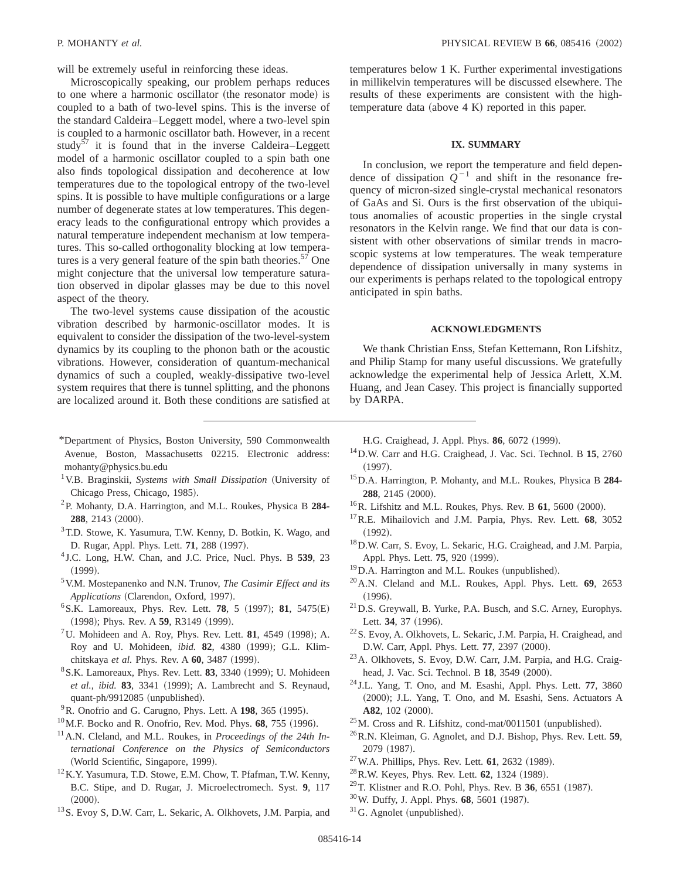will be extremely useful in reinforcing these ideas.

Microscopically speaking, our problem perhaps reduces to one where a harmonic oscillator (the resonator mode) is coupled to a bath of two-level spins. This is the inverse of the standard Caldeira–Leggett model, where a two-level spin is coupled to a harmonic oscillator bath. However, in a recent study<sup>57</sup> it is found that in the inverse Caldeira–Leggett model of a harmonic oscillator coupled to a spin bath one also finds topological dissipation and decoherence at low temperatures due to the topological entropy of the two-level spins. It is possible to have multiple configurations or a large number of degenerate states at low temperatures. This degeneracy leads to the configurational entropy which provides a natural temperature independent mechanism at low temperatures. This so-called orthogonality blocking at low temperatures is a very general feature of the spin bath theories.<sup>57</sup> One might conjecture that the universal low temperature saturation observed in dipolar glasses may be due to this novel aspect of the theory.

The two-level systems cause dissipation of the acoustic vibration described by harmonic-oscillator modes. It is equivalent to consider the dissipation of the two-level-system dynamics by its coupling to the phonon bath or the acoustic vibrations. However, consideration of quantum-mechanical dynamics of such a coupled, weakly-dissipative two-level system requires that there is tunnel splitting, and the phonons are localized around it. Both these conditions are satisfied at

- \*Department of Physics, Boston University, 590 Commonwealth Avenue, Boston, Massachusetts 02215. Electronic address: mohanty@physics.bu.edu
- <sup>1</sup> V.B. Braginskii, *Systems with Small Dissipation* (University of Chicago Press, Chicago, 1985).
- 2P. Mohanty, D.A. Harrington, and M.L. Roukes, Physica B **284- 288**, 2143 (2000).
- 3T.D. Stowe, K. Yasumura, T.W. Kenny, D. Botkin, K. Wago, and D. Rugar, Appl. Phys. Lett. **71**, 288 (1997).
- <sup>4</sup> J.C. Long, H.W. Chan, and J.C. Price, Nucl. Phys. B **539**, 23  $(1999).$
- 5V.M. Mostepanenko and N.N. Trunov, *The Casimir Effect and its*  $Applications$  (Clarendon, Oxford, 1997).
- ${}^{6}$ S.K. Lamoreaux, Phys. Rev. Lett. **78**, 5  $(1997)$ ; **81**, 5475 $(E)$ (1998); Phys. Rev. A **59**, R3149 (1999).
- $7$ U. Mohideen and A. Roy, Phys. Rev. Lett. **81**, 4549 (1998); A. Roy and U. Mohideen, *ibid.* 82, 4380 (1999); G.L. Klimchitskaya et al. Phys. Rev. A 60, 3487 (1999).
- <sup>8</sup> S.K. Lamoreaux, Phys. Rev. Lett. 83, 3340 (1999); U. Mohideen *et al., ibid.* **83**, 3341 (1999); A. Lambrecht and S. Reynaud, quant-ph/9912085 (unpublished).
- $^{9}$ R. Onofrio and G. Carugno, Phys. Lett. A  $198$ , 365 (1995).
- $10$ M.F. Bocko and R. Onofrio, Rev. Mod. Phys.  $68$ , 755 (1996).
- <sup>11</sup> A.N. Cleland, and M.L. Roukes, in *Proceedings of the 24th International Conference on the Physics of Semiconductors* (World Scientific, Singapore, 1999).
- 12K.Y. Yasumura, T.D. Stowe, E.M. Chow, T. Pfafman, T.W. Kenny, B.C. Stipe, and D. Rugar, J. Microelectromech. Syst. **9**, 117  $(2000).$
- 13S. Evoy S, D.W. Carr, L. Sekaric, A. Olkhovets, J.M. Parpia, and

temperatures below 1 K. Further experimental investigations in millikelvin temperatures will be discussed elsewhere. The results of these experiments are consistent with the hightemperature data (above  $4 K$ ) reported in this paper.

## **IX. SUMMARY**

In conclusion, we report the temperature and field dependence of dissipation  $Q^{-1}$  and shift in the resonance frequency of micron-sized single-crystal mechanical resonators of GaAs and Si. Ours is the first observation of the ubiquitous anomalies of acoustic properties in the single crystal resonators in the Kelvin range. We find that our data is consistent with other observations of similar trends in macroscopic systems at low temperatures. The weak temperature dependence of dissipation universally in many systems in our experiments is perhaps related to the topological entropy anticipated in spin baths.

# **ACKNOWLEDGMENTS**

We thank Christian Enss, Stefan Kettemann, Ron Lifshitz, and Philip Stamp for many useful discussions. We gratefully acknowledge the experimental help of Jessica Arlett, X.M. Huang, and Jean Casey. This project is financially supported by DARPA.

H.G. Craighead, J. Appl. Phys. 86, 6072 (1999).

- 14D.W. Carr and H.G. Craighead, J. Vac. Sci. Technol. B **15**, 2760  $(1997).$
- 15D.A. Harrington, P. Mohanty, and M.L. Roukes, Physica B **284- 288**, 2145 (2000).
- $^{16}$ R. Lifshitz and M.L. Roukes, Phys. Rev. B  $61$ , 5600 (2000).
- 17R.E. Mihailovich and J.M. Parpia, Phys. Rev. Lett. **68**, 3052  $(1992).$
- 18D.W. Carr, S. Evoy, L. Sekaric, H.G. Craighead, and J.M. Parpia, Appl. Phys. Lett. **75**, 920 (1999).
- $19$  D.A. Harrington and M.L. Roukes (unpublished).
- 20A.N. Cleland and M.L. Roukes, Appl. Phys. Lett. **69**, 2653  $(1996).$
- 21D.S. Greywall, B. Yurke, P.A. Busch, and S.C. Arney, Europhys. Lett. 34, 37 (1996).
- 22S. Evoy, A. Olkhovets, L. Sekaric, J.M. Parpia, H. Craighead, and D.W. Carr, Appl. Phys. Lett. **77**, 2397 (2000).
- 23A. Olkhovets, S. Evoy, D.W. Carr, J.M. Parpia, and H.G. Craighead, J. Vac. Sci. Technol. B 18, 3549 (2000).
- <sup>24</sup> J.L. Yang, T. Ono, and M. Esashi, Appl. Phys. Lett. **77**, 3860 (2000); J.L. Yang, T. Ono, and M. Esashi, Sens. Actuators A A82, 102 (2000).
- $^{25}$ M. Cross and R. Lifshitz, cond-mat/0011501 (unpublished).
- 26R.N. Kleiman, G. Agnolet, and D.J. Bishop, Phys. Rev. Lett. **59**, 2079 (1987).
- <sup>27</sup> W.A. Phillips, Phys. Rev. Lett. **61**, 2632 (1989).
- <sup>28</sup> R.W. Keyes, Phys. Rev. Lett. **62**, 1324 (1989).
- <sup>29</sup>T. Klistner and R.O. Pohl, Phys. Rev. B **36**, 6551 (1987).
- <sup>30</sup>W. Duffy, J. Appl. Phys. **68**, 5601 (1987).
- $31$ G. Agnolet (unpublished).